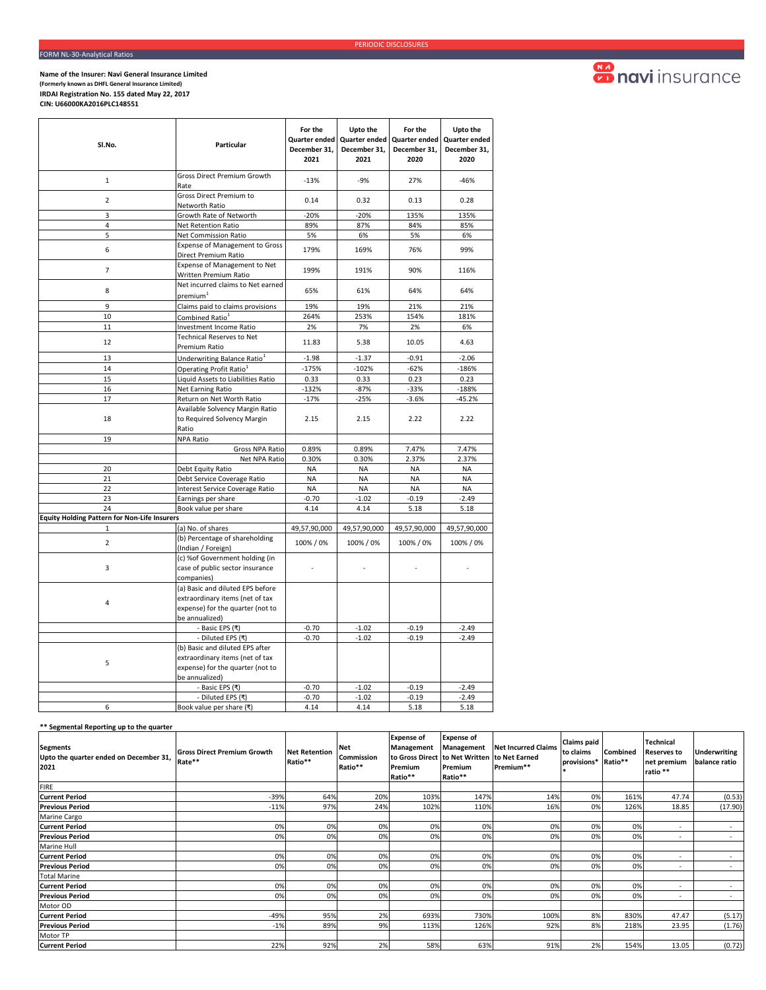**Name of the Insurer: Navi General Insurance Limited (Formerly known as DHFL General Insurance Limited) IRDAI Registration No. 155 dated May 22, 2017 CIN: U66000KA2016PLC148551** 

| Sl.No.                                              | Particular                                                                                                                | For the<br>Quarter ended<br>December 31,<br>2021 | Upto the<br>Quarter ended<br>December 31,<br>2021 | For the<br>Quarter ended<br>December 31,<br>2020 | Upto the<br>Quarter ended<br>December 31,<br>2020 |  |
|-----------------------------------------------------|---------------------------------------------------------------------------------------------------------------------------|--------------------------------------------------|---------------------------------------------------|--------------------------------------------------|---------------------------------------------------|--|
| $\mathbf{1}$                                        | Gross Direct Premium Growth<br>Rate                                                                                       | $-13%$                                           | $-9%$                                             | 27%                                              | $-46%$                                            |  |
| $\overline{2}$                                      | Gross Direct Premium to<br>Networth Ratio                                                                                 | 0.14                                             | 0.32                                              | 0.13                                             | 0.28                                              |  |
| 3                                                   | Growth Rate of Networth                                                                                                   | -20%                                             | -20%                                              | 135%                                             | 135%                                              |  |
| 4                                                   | Net Retention Ratio                                                                                                       | 89%                                              | 87%                                               | 84%                                              | 85%                                               |  |
| 5                                                   | Net Commission Ratio                                                                                                      | 5%                                               | 6%                                                | 5%                                               | 6%                                                |  |
| 6                                                   | <b>Expense of Management to Gross</b><br>Direct Premium Ratio                                                             | 179%                                             | 169%                                              | 76%                                              | 99%                                               |  |
| $\overline{7}$                                      | Expense of Management to Net<br>Written Premium Ratio                                                                     | 199%                                             | 191%                                              | 90%                                              | 116%                                              |  |
| 8                                                   | Net incurred claims to Net earned<br>premium <sup>1</sup>                                                                 | 65%                                              | 61%                                               | 64%                                              | 64%                                               |  |
| 9                                                   | Claims paid to claims provisions                                                                                          | 19%                                              | 19%                                               | 21%                                              | 21%                                               |  |
| 10                                                  | Combined Ratio <sup>1</sup>                                                                                               | 264%                                             | 253%                                              | 154%                                             | 181%                                              |  |
| 11                                                  | <b>Investment Income Ratio</b>                                                                                            | 2%                                               | 7%                                                | 2%                                               | 6%                                                |  |
| 12                                                  | <b>Technical Reserves to Net</b><br>Premium Ratio                                                                         | 11.83                                            | 5.38                                              | 10.05                                            | 4.63                                              |  |
| 13                                                  | Underwriting Balance Ratio <sup>1</sup>                                                                                   | $-1.98$                                          | $-1.37$                                           | $-0.91$                                          | $-2.06$                                           |  |
| 14                                                  | Operating Profit Ratio <sup>1</sup>                                                                                       | $-175%$                                          | $-102%$                                           | $-62%$                                           | $-186%$                                           |  |
| 15                                                  | Liquid Assets to Liabilities Ratio                                                                                        | 0.33                                             | 0.33                                              | 0.23                                             | 0.23                                              |  |
| 16                                                  | Net Earning Ratio                                                                                                         | $-132%$                                          | $-87%$                                            | $-33%$                                           | $-188%$                                           |  |
| 17                                                  | Return on Net Worth Ratio                                                                                                 | $-17%$                                           | $-25%$                                            | $-3.6%$                                          | $-45.2%$                                          |  |
| 18                                                  | Available Solvency Margin Ratio<br>to Required Solvency Margin<br>Ratio                                                   | 2.15                                             | 2.15                                              | 2.22                                             | 2.22                                              |  |
| 19                                                  | <b>NPA Ratio</b>                                                                                                          |                                                  |                                                   |                                                  |                                                   |  |
|                                                     | Gross NPA Ratio                                                                                                           | 0.89%                                            | 0.89%                                             | 7.47%                                            | 7.47%                                             |  |
|                                                     | Net NPA Ratio                                                                                                             | 0.30%                                            | 0.30%                                             | 2.37%                                            | 2.37%                                             |  |
| 20                                                  | Debt Equity Ratio                                                                                                         | <b>NA</b>                                        | <b>NA</b>                                         | <b>NA</b>                                        | <b>NA</b>                                         |  |
| 21                                                  | Debt Service Coverage Ratio                                                                                               | <b>NA</b>                                        | <b>NA</b>                                         | <b>NA</b>                                        | <b>NA</b>                                         |  |
| 22                                                  | Interest Service Coverage Ratio                                                                                           | <b>NA</b>                                        | <b>NA</b>                                         | <b>NA</b>                                        | NA                                                |  |
| 23<br>24                                            | Earnings per share<br>Book value per share                                                                                | $-0.70$<br>4.14                                  | $-1.02$<br>4.14                                   | $-0.19$<br>5.18                                  | $-2.49$<br>5.18                                   |  |
| <b>Equity Holding Pattern for Non-Life Insurers</b> |                                                                                                                           |                                                  |                                                   |                                                  |                                                   |  |
| $\mathbf{1}$                                        | (a) No. of shares                                                                                                         | 49,57,90,000                                     | 49,57,90,000                                      | 49,57,90,000                                     | 49,57,90,000                                      |  |
| $\overline{2}$                                      | (b) Percentage of shareholding<br>(Indian / Foreign)                                                                      | 100% / 0%                                        | 100% / 0%                                         | 100% / 0%                                        | 100% / 0%                                         |  |
| 3                                                   | (c) %of Government holding (in<br>case of public sector insurance<br>companies)                                           |                                                  |                                                   |                                                  |                                                   |  |
| 4                                                   | (a) Basic and diluted EPS before<br>extraordinary items (net of tax<br>expense) for the quarter (not to<br>be annualized) |                                                  |                                                   |                                                  |                                                   |  |
|                                                     | - Basic EPS (₹)                                                                                                           | $-0.70$                                          | $-1.02$                                           | $-0.19$                                          | $-2.49$                                           |  |
|                                                     | - Diluted EPS (₹)                                                                                                         | $-0.70$                                          | $-1.02$                                           | $-0.19$                                          | $-2.49$                                           |  |
| 5                                                   | (b) Basic and diluted EPS after<br>extraordinary items (net of tax<br>expense) for the quarter (not to<br>be annualized)  |                                                  |                                                   |                                                  |                                                   |  |
|                                                     | - Basic EPS (₹)                                                                                                           | $-0.70$                                          | $-1.02$                                           | $-0.19$                                          | $-2.49$                                           |  |
|                                                     | - Diluted EPS (₹)                                                                                                         | $-0.70$                                          | $-1.02$                                           | $-0.19$                                          | $-2.49$                                           |  |
| 6                                                   | Book value per share (₹)                                                                                                  | 4.14                                             | 4.14                                              | 5.18                                             | 5.18                                              |  |

## **Sonavi** insurance

## **\*\* Segmental Reporting up to the quarter**

| <b>Segments</b><br>Upto the quarter ended on December 31,<br>2021 | <b>Gross Direct Premium Growth</b><br>Rate** | <b>Net Retention</b><br>Ratio** | <b>Net</b><br>Commission<br>Ratio** | <b>Expense of</b><br>Management<br>to Gross Direct to Net Written to Net Earned<br>Premium<br>Ratio** | <b>Expense of</b><br>Management<br>Premium<br>Ratio** | <b>Net Incurred Claims</b><br>Premium** | <b>Claims paid</b><br>to claims<br>provisions* Ratio** | Combined | Technical<br><b>Reserves to</b><br>net premium<br>ratio ** | <b>Underwriting</b><br>balance ratio |
|-------------------------------------------------------------------|----------------------------------------------|---------------------------------|-------------------------------------|-------------------------------------------------------------------------------------------------------|-------------------------------------------------------|-----------------------------------------|--------------------------------------------------------|----------|------------------------------------------------------------|--------------------------------------|
| <b>FIRE</b>                                                       |                                              |                                 |                                     |                                                                                                       |                                                       |                                         |                                                        |          |                                                            |                                      |
| <b>Current Period</b>                                             | $-39%$                                       | 64%                             | 20%                                 | 103%                                                                                                  | 147%                                                  | 14%                                     | 0%                                                     | 161%     | 47.74                                                      | (0.53)                               |
| <b>Previous Period</b>                                            | $-11%$                                       | 97%                             | 24%                                 | 102%                                                                                                  | 110%                                                  | 16%                                     | 0%                                                     | 126%     | 18.85                                                      | (17.90)                              |
| Marine Cargo                                                      |                                              |                                 |                                     |                                                                                                       |                                                       |                                         |                                                        |          |                                                            |                                      |
| <b>Current Period</b>                                             | 0%                                           | 0%                              | 0%                                  | 0%                                                                                                    | 0%                                                    | 0%                                      | 0%                                                     | 0%       | $\overline{\phantom{a}}$                                   | $\sim$                               |
| <b>Previous Period</b>                                            | 0%                                           | 0%                              | 0%                                  | 0%                                                                                                    | 0%                                                    | 0%                                      | 0%                                                     | 0%       | $\overline{\phantom{a}}$                                   |                                      |
| Marine Hull                                                       |                                              |                                 |                                     |                                                                                                       |                                                       |                                         |                                                        |          |                                                            |                                      |
| <b>Current Period</b>                                             | 0%                                           | 0%                              | 0%                                  | 0%                                                                                                    | 0%                                                    | 0%                                      | 0%                                                     | 0%       | $\overline{\phantom{a}}$                                   | $\sim$                               |
| <b>Previous Period</b>                                            | 0%                                           | 0%                              | 0%                                  | 0%                                                                                                    | 0%                                                    | 0%                                      | 0%                                                     | 0%       | ۰                                                          | $\sim$                               |
| <b>Total Marine</b>                                               |                                              |                                 |                                     |                                                                                                       |                                                       |                                         |                                                        |          |                                                            |                                      |
| <b>Current Period</b>                                             | 0%                                           | 0%                              | 0%                                  | 0%                                                                                                    | 0%                                                    | 0%                                      | 0%                                                     | 0%       | $\overline{\phantom{a}}$                                   | $\sim$                               |
| <b>Previous Period</b>                                            | 0%                                           | 0%                              | 0%                                  | 0%                                                                                                    | 0%                                                    | 0%                                      | 0%                                                     | 0%       | $\overline{\phantom{a}}$                                   | $\sim$                               |
| Motor OD                                                          |                                              |                                 |                                     |                                                                                                       |                                                       |                                         |                                                        |          |                                                            |                                      |
| <b>Current Period</b>                                             | $-49%$                                       | 95%                             | 2%                                  | 693%                                                                                                  | 730%                                                  | 100%                                    | 8%                                                     | 830%     | 47.47                                                      | (5.17)                               |
| <b>Previous Period</b>                                            | $-1%$                                        | 89%                             | 9%                                  | 113%                                                                                                  | 126%                                                  | 92%                                     | 8%                                                     | 218%     | 23.95                                                      | (1.76)                               |
| Motor TP                                                          |                                              |                                 |                                     |                                                                                                       |                                                       |                                         |                                                        |          |                                                            |                                      |
| <b>Current Period</b>                                             | 22%                                          | 92%                             | 2%                                  | 58%                                                                                                   | 63%                                                   | 91%                                     | 2%                                                     | 154%     | 13.05                                                      | (0.72)                               |